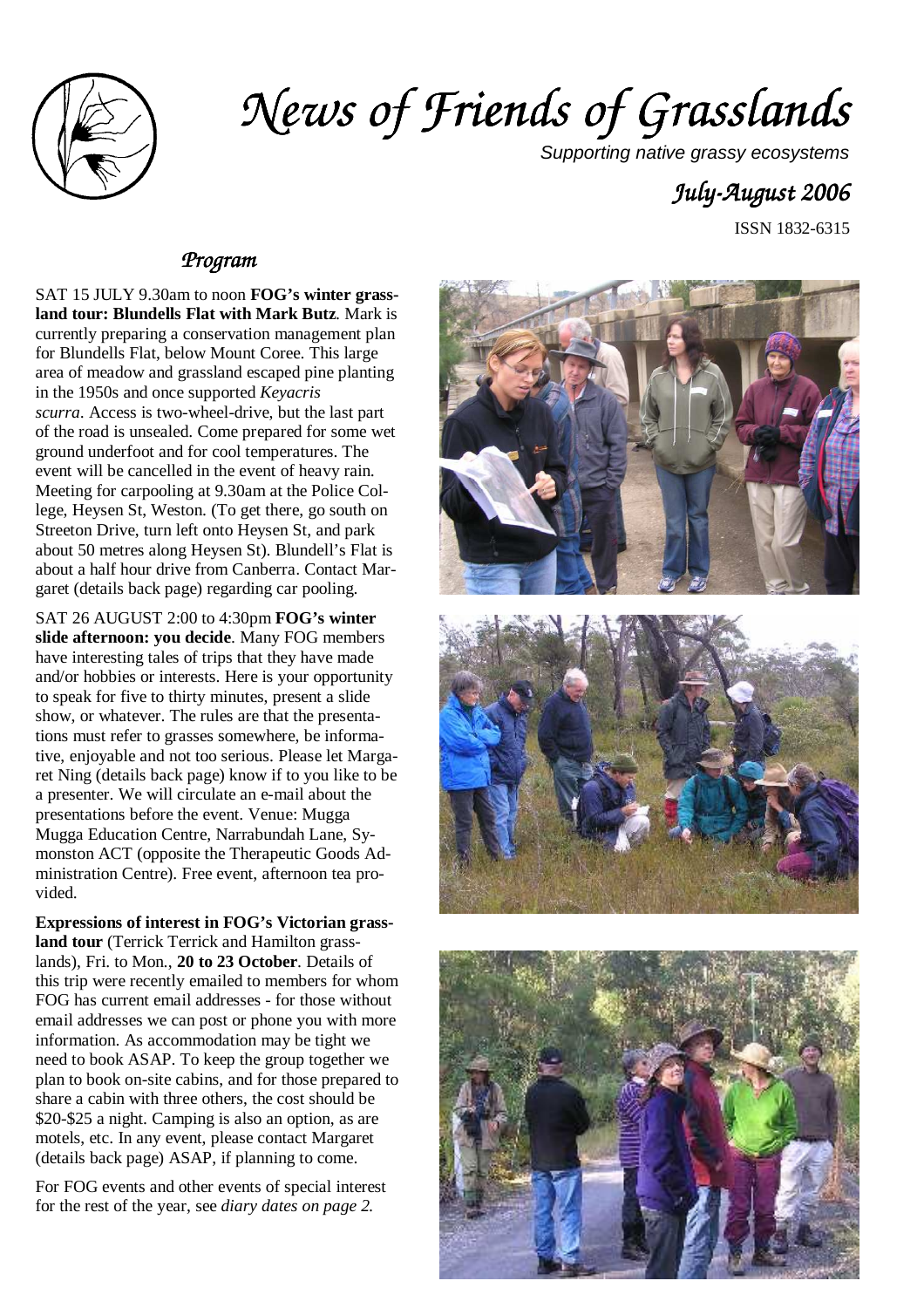

# *News of Friends of Grass News of Friends Grasslands*

Supporting native grassy ecosystems

# *July-August 2006*

ISSN 1832-6315

#### *Program Program*

SAT 15 JULY 9.30am to noon **FOG's winter grassland tour: Blundells Flat with Mark Butz**. Mark is currently preparing a conservation management plan for Blundells Flat, below Mount Coree. This large area of meadow and grassland escaped pine planting in the 1950s and once supported *Keyacris scurra*. Access is two-wheel-drive, but the last part of the road is unsealed. Come prepared for some wet ground underfoot and for cool temperatures. The event will be cancelled in the event of heavy rain. Meeting for carpooling at 9.30am at the Police College, Heysen St, Weston. (To get there, go south on Streeton Drive, turn left onto Heysen St, and park about 50 metres along Heysen St). Blundell's Flat is about a half hour drive from Canberra. Contact Margaret (details back page) regarding car pooling.

SAT 26 AUGUST 2:00 to 4:30pm **FOG's winter slide afternoon: you decide**. Many FOG members have interesting tales of trips that they have made and/or hobbies or interests. Here is your opportunity to speak for five to thirty minutes, present a slide show, or whatever. The rules are that the presentations must refer to grasses somewhere, be informative, enjoyable and not too serious. Please let Margaret Ning (details back page) know if to you like to be a presenter. We will circulate an e-mail about the presentations before the event. Venue: Mugga Mugga Education Centre, Narrabundah Lane, Symonston ACT (opposite the Therapeutic Goods Administration Centre). Free event, afternoon tea provided.

**Expressions of interest in FOG's Victorian grassland tour** (Terrick Terrick and Hamilton grasslands), Fri. to Mon., **20 to 23 October**. Details of this trip were recently emailed to members for whom FOG has current email addresses - for those without email addresses we can post or phone you with more information. As accommodation may be tight we need to book ASAP. To keep the group together we plan to book on-site cabins, and for those prepared to share a cabin with three others, the cost should be \$20-\$25 a night. Camping is also an option, as are motels, etc. In any event, please contact Margaret (details back page) ASAP, if planning to come.

For FOG events and other events of special interest for the rest of the year, see *diary dates on page 2.* 





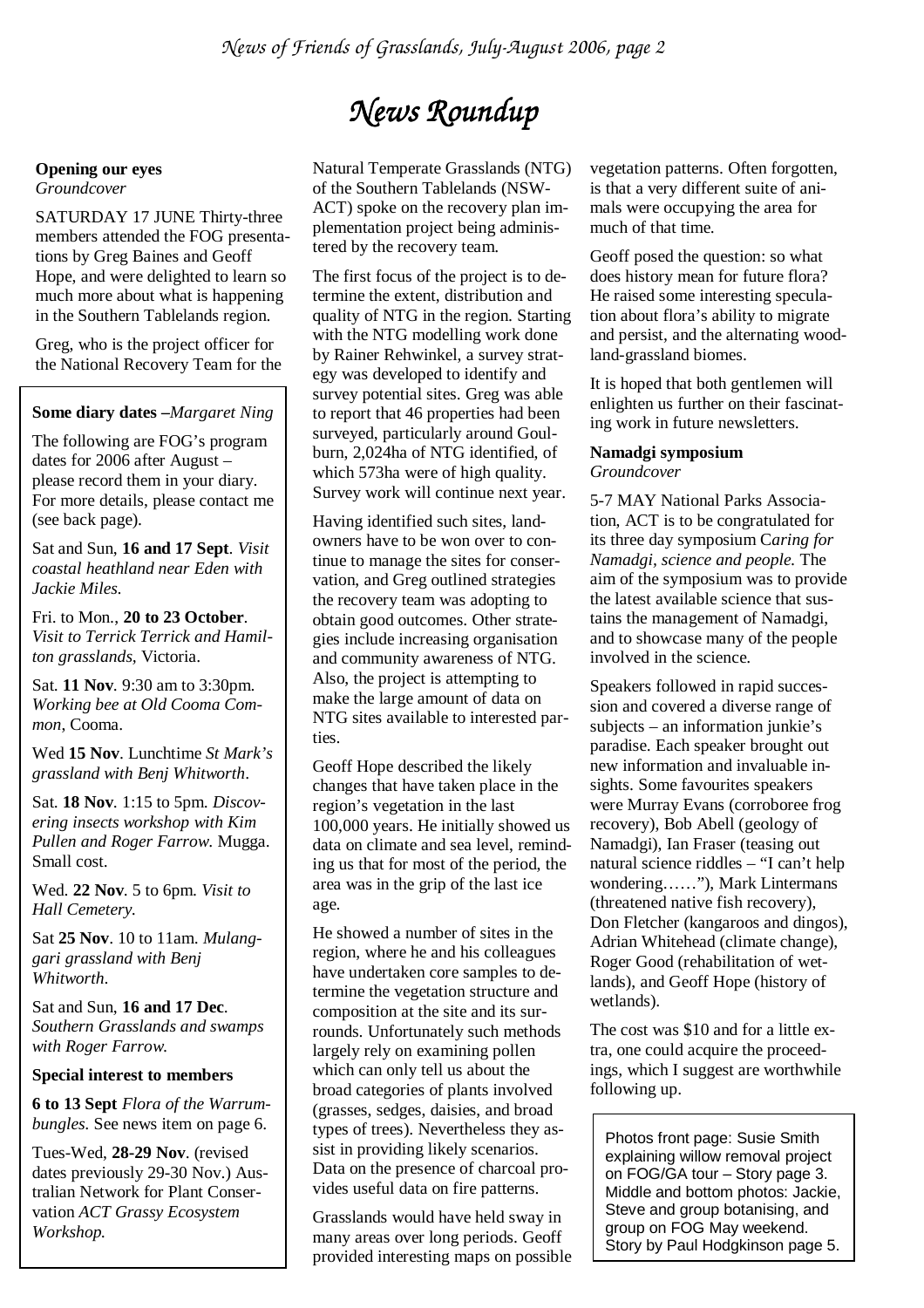# *News Roundup*

Natural Temperate Grasslands (NTG) of the Southern Tablelands (NSW-ACT) spoke on the recovery plan implementation project being administered by the recovery team.

The first focus of the project is to determine the extent, distribution and quality of NTG in the region. Starting with the NTG modelling work done by Rainer Rehwinkel, a survey strategy was developed to identify and survey potential sites. Greg was able to report that 46 properties had been surveyed, particularly around Goulburn, 2,024ha of NTG identified, of which 573ha were of high quality. Survey work will continue next year.

Having identified such sites, landowners have to be won over to continue to manage the sites for conservation, and Greg outlined strategies the recovery team was adopting to obtain good outcomes. Other strategies include increasing organisation and community awareness of NTG. Also, the project is attempting to make the large amount of data on NTG sites available to interested parties.

Geoff Hope described the likely changes that have taken place in the region's vegetation in the last 100,000 years. He initially showed us data on climate and sea level, reminding us that for most of the period, the area was in the grip of the last ice age.

He showed a number of sites in the region, where he and his colleagues have undertaken core samples to determine the vegetation structure and composition at the site and its surrounds. Unfortunately such methods largely rely on examining pollen which can only tell us about the broad categories of plants involved (grasses, sedges, daisies, and broad types of trees). Nevertheless they assist in providing likely scenarios. Data on the presence of charcoal provides useful data on fire patterns.

Grasslands would have held sway in many areas over long periods. Geoff provided interesting maps on possible vegetation patterns. Often forgotten, is that a very different suite of animals were occupying the area for much of that time.

Geoff posed the question: so what does history mean for future flora? He raised some interesting speculation about flora's ability to migrate and persist, and the alternating woodland-grassland biomes.

It is hoped that both gentlemen will enlighten us further on their fascinating work in future newsletters.

#### **Namadgi symposium**  *Groundcover*

5-7 MAY National Parks Association, ACT is to be congratulated for its three day symposium C*aring for Namadgi, science and people.* The aim of the symposium was to provide the latest available science that sustains the management of Namadgi, and to showcase many of the people involved in the science.

Speakers followed in rapid succession and covered a diverse range of subjects – an information junkie's paradise. Each speaker brought out new information and invaluable insights. Some favourites speakers were Murray Evans (corroboree frog recovery), Bob Abell (geology of Namadgi), Ian Fraser (teasing out natural science riddles – "I can't help wondering……"), Mark Lintermans (threatened native fish recovery), Don Fletcher (kangaroos and dingos), Adrian Whitehead (climate change), Roger Good (rehabilitation of wetlands), and Geoff Hope (history of wetlands).

The cost was \$10 and for a little extra, one could acquire the proceedings, which I suggest are worthwhile following up.

Photos front page: Susie Smith explaining willow removal project on FOG/GA tour – Story page 3. Middle and bottom photos: Jackie, Steve and group botanising, and group on FOG May weekend. Story by Paul Hodgkinson page 5.

### **Opening our eyes**

*Groundcover* 

SATURDAY 17 JUNE Thirty-three members attended the FOG presentations by Greg Baines and Geoff Hope, and were delighted to learn so much more about what is happening in the Southern Tablelands region.

Greg, who is the project officer for the National Recovery Team for the

**Some diary dates –***Margaret Ning* 

The following are FOG's program dates for 2006 after August – please record them in your diary. For more details, please contact me (see back page).

Sat and Sun, **16 and 17 Sept**. *Visit coastal heathland near Eden with Jackie Miles.* 

Fri. to Mon., **20 to 23 October**. *Visit to Terrick Terrick and Hamilton grasslands,* Victoria.

Sat. **11 Nov**. 9:30 am to 3:30pm. *Working bee at Old Cooma Common*, Cooma.

Wed **15 Nov**. Lunchtime *St Mark's grassland with Benj Whitworth*.

Sat. **18 Nov**. 1:15 to 5pm. *Discovering insects workshop with Kim Pullen and Roger Farrow*. Mugga. Small cost.

Wed. **22 Nov**. 5 to 6pm. *Visit to Hall Cemetery.* 

Sat **25 Nov**. 10 to 11am. *Mulanggari grassland with Benj Whitworth*.

Sat and Sun, **16 and 17 Dec**. *Southern Grasslands and swamps with Roger Farrow.* 

#### **Special interest to members**

**6 to 13 Sept** *Flora of the Warrumbungles.* See news item on page 6.

Tues-Wed, **28-29 Nov**. (revised dates previously 29-30 Nov.) Australian Network for Plant Conservation *ACT Grassy Ecosystem Workshop.*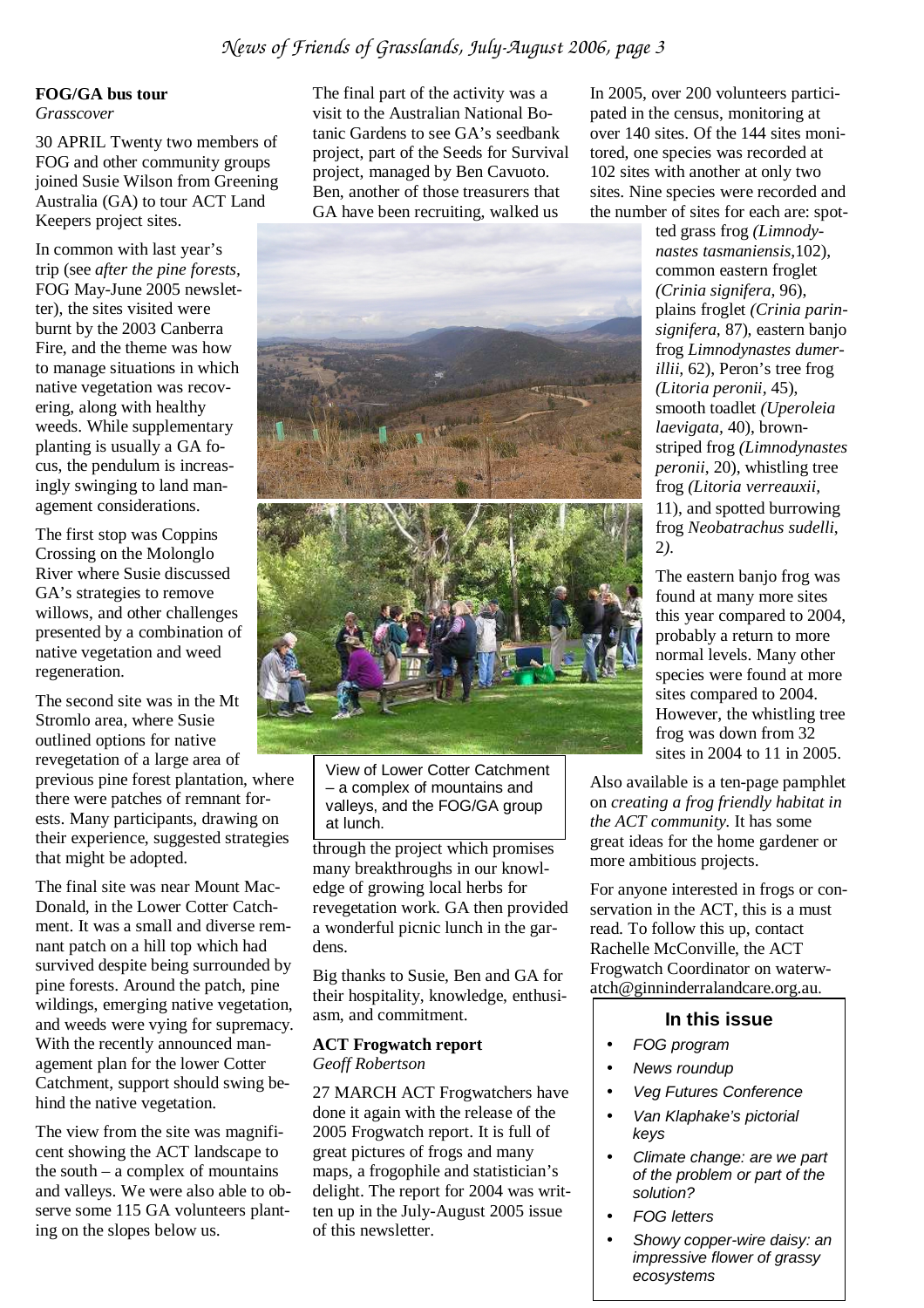#### **FOG/GA bus tour**  *Grasscover*

30 APRIL Twenty two members of FOG and other community groups joined Susie Wilson from Greening Australia (GA) to tour ACT Land Keepers project sites.

In common with last year's trip (see *after the pine forests,*  FOG May-June 2005 newsletter), the sites visited were burnt by the 2003 Canberra Fire, and the theme was how to manage situations in which native vegetation was recovering, along with healthy weeds. While supplementary planting is usually a GA focus, the pendulum is increasingly swinging to land management considerations.

The first stop was Coppins Crossing on the Molonglo River where Susie discussed GA's strategies to remove willows, and other challenges presented by a combination of native vegetation and weed regeneration.

The second site was in the Mt Stromlo area, where Susie outlined options for native revegetation of a large area of previous pine forest plantation, where there were patches of remnant forests. Many participants, drawing on their experience, suggested strategies that might be adopted.

The final site was near Mount Mac-Donald, in the Lower Cotter Catchment. It was a small and diverse remnant patch on a hill top which had survived despite being surrounded by pine forests. Around the patch, pine wildings, emerging native vegetation, and weeds were vying for supremacy. With the recently announced management plan for the lower Cotter Catchment, support should swing behind the native vegetation.

The view from the site was magnificent showing the ACT landscape to the south  $-$  a complex of mountains and valleys. We were also able to observe some 115 GA volunteers planting on the slopes below us.

The final part of the activity was a visit to the Australian National Botanic Gardens to see GA's seedbank project, part of the Seeds for Survival project, managed by Ben Cavuoto. Ben, another of those treasurers that GA have been recruiting, walked us



View of Lower Cotter Catchment – a complex of mountains and valleys, and the FOG/GA group at lunch.

through the project which promises many breakthroughs in our knowledge of growing local herbs for revegetation work. GA then provided a wonderful picnic lunch in the gardens.

Big thanks to Susie, Ben and GA for their hospitality, knowledge, enthusiasm, and commitment.

#### **ACT Frogwatch report**  *Geoff Robertson*

27 MARCH ACT Frogwatchers have done it again with the release of the 2005 Frogwatch report. It is full of great pictures of frogs and many maps, a frogophile and statistician's delight. The report for 2004 was written up in the July-August 2005 issue of this newsletter.

In 2005, over 200 volunteers participated in the census, monitoring at over 140 sites. Of the 144 sites monitored, one species was recorded at 102 sites with another at only two sites. Nine species were recorded and the number of sites for each are: spot-

> ted grass frog *(Limnodynastes tasmaniensis,*102), common eastern froglet *(Crinia signifera,* 96), plains froglet *(Crinia parinsignifera,* 87), eastern banjo frog *Limnodynastes dumerillii,* 62), Peron's tree frog *(Litoria peronii,* 45), smooth toadlet *(Uperoleia laevigata,* 40), brownstriped frog *(Limnodynastes peronii*, 20), whistling tree frog *(Litoria verreauxii,*  11), and spotted burrowing frog *Neobatrachus sudelli*, 2*).*

> The eastern banjo frog was found at many more sites this year compared to 2004, probably a return to more normal levels. Many other species were found at more sites compared to 2004. However, the whistling tree frog was down from 32 sites in 2004 to 11 in 2005.

Also available is a ten-page pamphlet on *creating a frog friendly habitat in the ACT community*. It has some great ideas for the home gardener or more ambitious projects.

For anyone interested in frogs or conservation in the ACT, this is a must read. To follow this up, contact Rachelle McConville, the ACT Frogwatch Coordinator on waterwatch@ginninderralandcare.org.au.

#### **In this issue**

- FOG program
- News roundup
- Veg Futures Conference
- Van Klaphake's pictorial keys
- Climate change: are we part of the problem or part of the solution?
- FOG letters
- Showy copper-wire daisy: an impressive flower of grassy ecosystems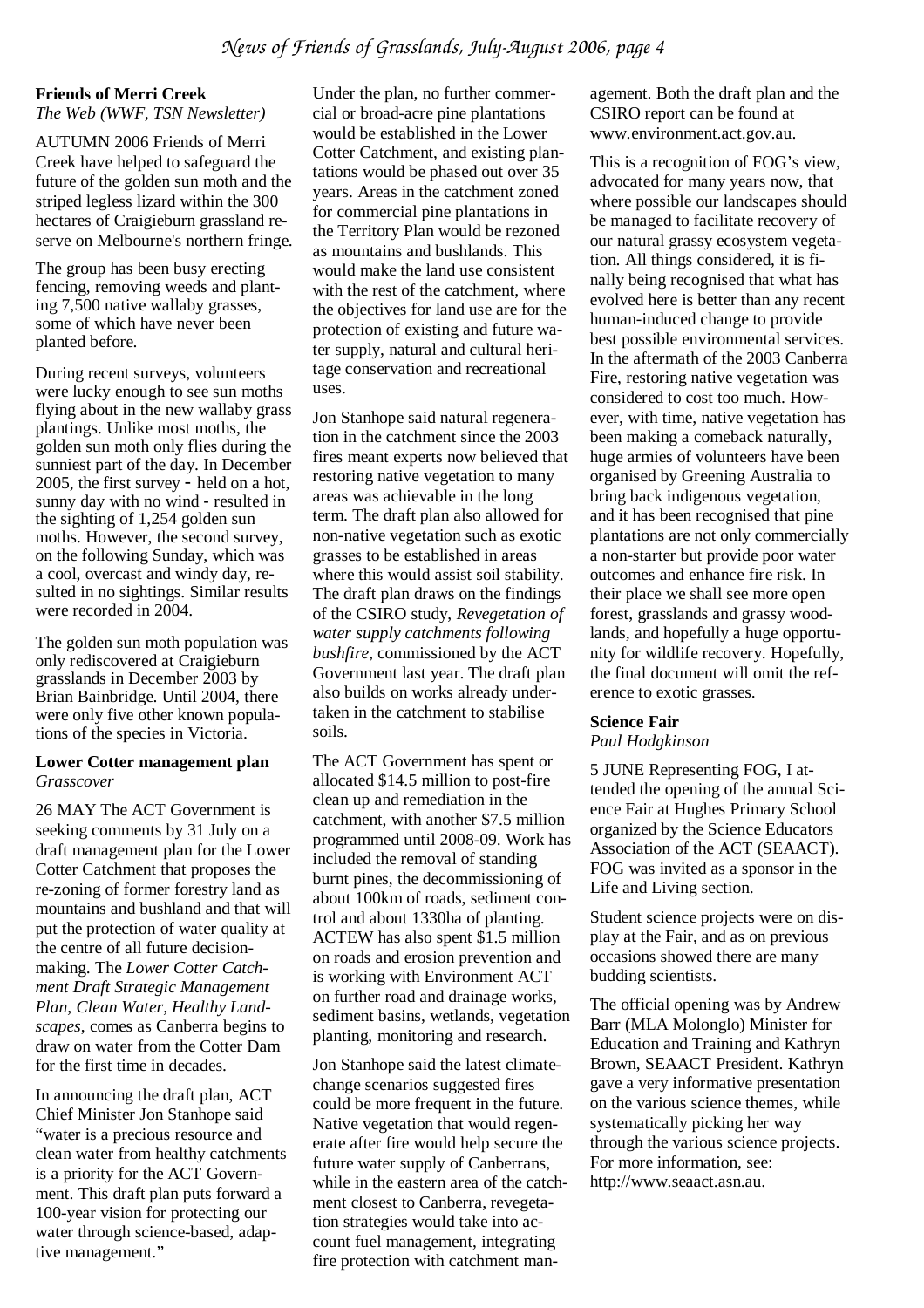#### **Friends of Merri Creek**

*The Web (WWF, TSN Newsletter)* 

AUTUMN 2006 Friends of Merri Creek have helped to safeguard the future of the golden sun moth and the striped legless lizard within the 300 hectares of Craigieburn grassland reserve on Melbourne's northern fringe.

The group has been busy erecting fencing, removing weeds and planting 7,500 native wallaby grasses, some of which have never been planted before.

During recent surveys, volunteers were lucky enough to see sun moths flying about in the new wallaby grass plantings. Unlike most moths, the golden sun moth only flies during the sunniest part of the day. In December 2005, the first survey - held on a hot, sunny day with no wind - resulted in the sighting of 1,254 golden sun moths. However, the second survey, on the following Sunday, which was a cool, overcast and windy day, resulted in no sightings. Similar results were recorded in 2004.

The golden sun moth population was only rediscovered at Craigieburn grasslands in December 2003 by Brian Bainbridge. Until 2004, there were only five other known populations of the species in Victoria.

#### **Lower Cotter management plan**  *Grasscover*

26 MAY The ACT Government is seeking comments by 31 July on a draft management plan for the Lower Cotter Catchment that proposes the re-zoning of former forestry land as mountains and bushland and that will put the protection of water quality at the centre of all future decisionmaking. The *Lower Cotter Catchment Draft Strategic Management Plan, Clean Water, Healthy Landscapes*, comes as Canberra begins to draw on water from the Cotter Dam for the first time in decades.

In announcing the draft plan, ACT Chief Minister Jon Stanhope said "water is a precious resource and clean water from healthy catchments is a priority for the ACT Government. This draft plan puts forward a 100-year vision for protecting our water through science-based, adaptive management."

Under the plan, no further commercial or broad-acre pine plantations would be established in the Lower Cotter Catchment, and existing plantations would be phased out over 35 years. Areas in the catchment zoned for commercial pine plantations in the Territory Plan would be rezoned as mountains and bushlands. This would make the land use consistent with the rest of the catchment, where the objectives for land use are for the protection of existing and future water supply, natural and cultural heritage conservation and recreational uses.

Jon Stanhope said natural regeneration in the catchment since the 2003 fires meant experts now believed that restoring native vegetation to many areas was achievable in the long term. The draft plan also allowed for non-native vegetation such as exotic grasses to be established in areas where this would assist soil stability. The draft plan draws on the findings of the CSIRO study, *Revegetation of water supply catchments following bushfire*, commissioned by the ACT Government last year. The draft plan also builds on works already undertaken in the catchment to stabilise soils.

The ACT Government has spent or allocated \$14.5 million to post-fire clean up and remediation in the catchment, with another \$7.5 million programmed until 2008-09. Work has included the removal of standing burnt pines, the decommissioning of about 100km of roads, sediment control and about 1330ha of planting. ACTEW has also spent \$1.5 million on roads and erosion prevention and is working with Environment ACT on further road and drainage works, sediment basins, wetlands, vegetation planting, monitoring and research.

Jon Stanhope said the latest climatechange scenarios suggested fires could be more frequent in the future. Native vegetation that would regenerate after fire would help secure the future water supply of Canberrans, while in the eastern area of the catchment closest to Canberra, revegetation strategies would take into account fuel management, integrating fire protection with catchment management. Both the draft plan and the CSIRO report can be found at www.environment.act.gov.au.

This is a recognition of FOG's view, advocated for many years now, that where possible our landscapes should be managed to facilitate recovery of our natural grassy ecosystem vegetation. All things considered, it is finally being recognised that what has evolved here is better than any recent human-induced change to provide best possible environmental services. In the aftermath of the 2003 Canberra Fire, restoring native vegetation was considered to cost too much. However, with time, native vegetation has been making a comeback naturally, huge armies of volunteers have been organised by Greening Australia to bring back indigenous vegetation, and it has been recognised that pine plantations are not only commercially a non-starter but provide poor water outcomes and enhance fire risk. In their place we shall see more open forest, grasslands and grassy woodlands, and hopefully a huge opportunity for wildlife recovery. Hopefully, the final document will omit the reference to exotic grasses.

#### **Science Fair**

*Paul Hodgkinson* 

5 JUNE Representing FOG, I attended the opening of the annual Science Fair at Hughes Primary School organized by the Science Educators Association of the ACT (SEAACT). FOG was invited as a sponsor in the Life and Living section.

Student science projects were on display at the Fair, and as on previous occasions showed there are many budding scientists.

The official opening was by Andrew Barr (MLA Molonglo) Minister for Education and Training and Kathryn Brown, SEAACT President. Kathryn gave a very informative presentation on the various science themes, while systematically picking her way through the various science projects. For more information, see: http://www.seaact.asn.au.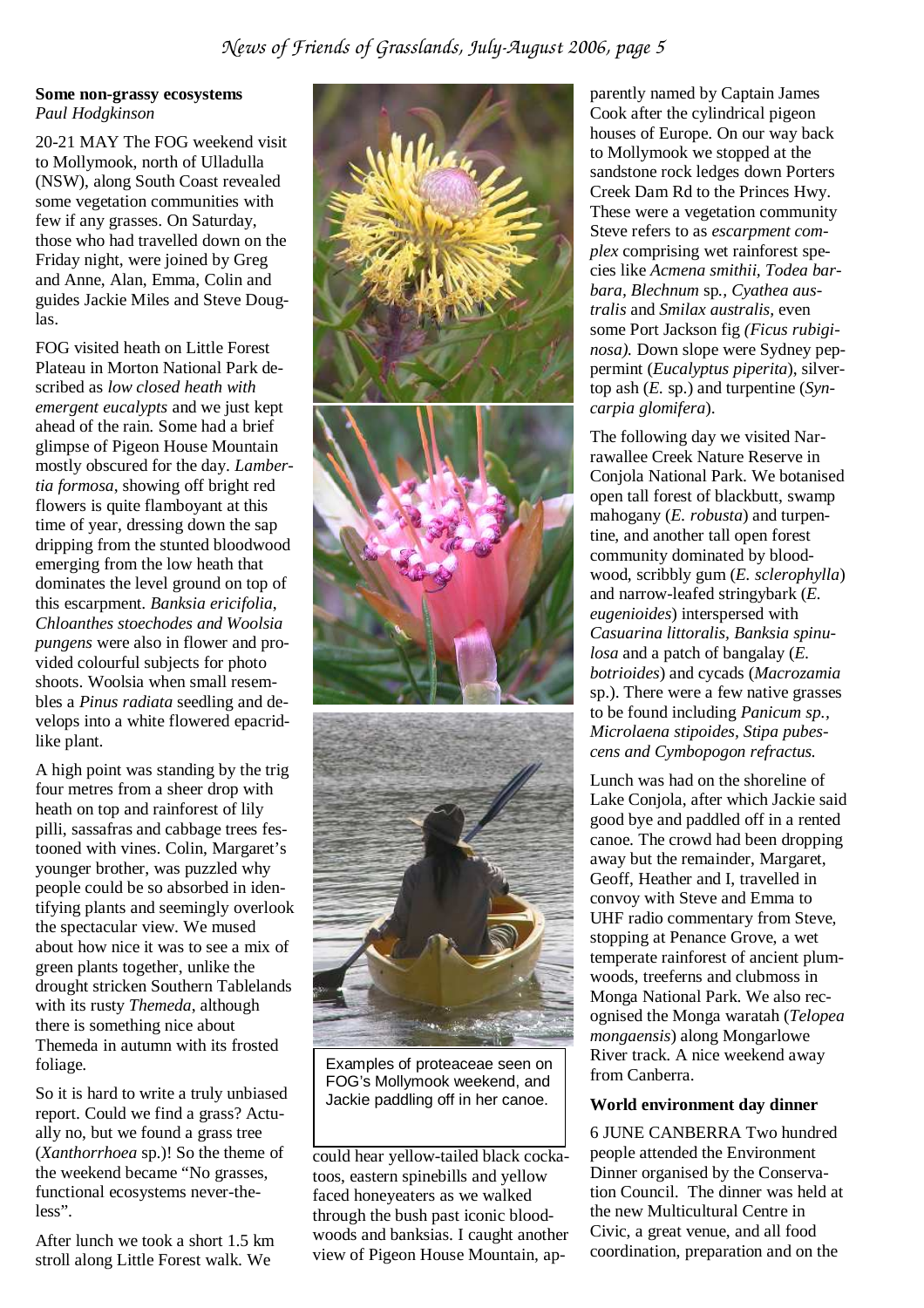#### *News of Friends of Grasslands, July-August 2006, page 5*

#### **Some non-grassy ecosystems**  *Paul Hodgkinson*

20-21 MAY The FOG weekend visit to Mollymook, north of Ulladulla (NSW), along South Coast revealed some vegetation communities with few if any grasses. On Saturday, those who had travelled down on the Friday night, were joined by Greg and Anne, Alan, Emma, Colin and guides Jackie Miles and Steve Douglas.

FOG visited heath on Little Forest Plateau in Morton National Park described as *low closed heath with emergent eucalypts* and we just kept ahead of the rain. Some had a brief glimpse of Pigeon House Mountain mostly obscured for the day. *Lambertia formosa*, showing off bright red flowers is quite flamboyant at this time of year, dressing down the sap dripping from the stunted bloodwood emerging from the low heath that dominates the level ground on top of this escarpment. *Banksia ericifolia*, *Chloanthes stoechodes and Woolsia pungens* were also in flower and provided colourful subjects for photo shoots. Woolsia when small resembles a *Pinus radiata* seedling and develops into a white flowered epacridlike plant.

A high point was standing by the trig four metres from a sheer drop with heath on top and rainforest of lily pilli, sassafras and cabbage trees festooned with vines. Colin, Margaret's younger brother, was puzzled why people could be so absorbed in identifying plants and seemingly overlook the spectacular view. We mused about how nice it was to see a mix of green plants together, unlike the drought stricken Southern Tablelands with its rusty *Themeda*, although there is something nice about Themeda in autumn with its frosted foliage.

So it is hard to write a truly unbiased report. Could we find a grass? Actually no, but we found a grass tree (*Xanthorrhoea* sp.)! So the theme of the weekend became "No grasses, functional ecosystems never-theless".

After lunch we took a short 1.5 km stroll along Little Forest walk. We



FOG's Mollymook weekend, and Jackie paddling off in her canoe.

could hear yellow-tailed black cockatoos, eastern spinebills and yellow faced honeyeaters as we walked through the bush past iconic bloodwoods and banksias. I caught another view of Pigeon House Mountain, ap-

parently named by Captain James Cook after the cylindrical pigeon houses of Europe. On our way back to Mollymook we stopped at the sandstone rock ledges down Porters Creek Dam Rd to the Princes Hwy. These were a vegetation community Steve refers to as *escarpment complex* comprising wet rainforest species like *Acmena smithii, Todea barbara, Blechnum* sp*., Cyathea australis* and *Smilax australis,* even some Port Jackson fig *(Ficus rubiginosa).* Down slope were Sydney peppermint (*Eucalyptus piperita*), silvertop ash (*E.* sp.) and turpentine (*Syncarpia glomifera*).

The following day we visited Narrawallee Creek Nature Reserve in Conjola National Park. We botanised open tall forest of blackbutt, swamp mahogany (*E. robusta*) and turpentine, and another tall open forest community dominated by bloodwood, scribbly gum (*E. sclerophylla*) and narrow-leafed stringybark (*E. eugenioides*) interspersed with *Casuarina littoralis, Banksia spinulosa* and a patch of bangalay (*E. botrioides*) and cycads (*Macrozamia*  sp.). There were a few native grasses to be found including *Panicum sp., Microlaena stipoides, Stipa pubescens and Cymbopogon refractus.*

Lunch was had on the shoreline of Lake Conjola, after which Jackie said good bye and paddled off in a rented canoe. The crowd had been dropping away but the remainder, Margaret, Geoff, Heather and I, travelled in convoy with Steve and Emma to UHF radio commentary from Steve, stopping at Penance Grove, a wet temperate rainforest of ancient plumwoods, treeferns and clubmoss in Monga National Park. We also recognised the Monga waratah (*Telopea mongaensis*) along Mongarlowe River track. A nice weekend away from Canberra.

#### **World environment day dinner**

6 JUNE CANBERRA Two hundred people attended the Environment Dinner organised by the Conservation Council. The dinner was held at the new Multicultural Centre in Civic, a great venue, and all food coordination, preparation and on the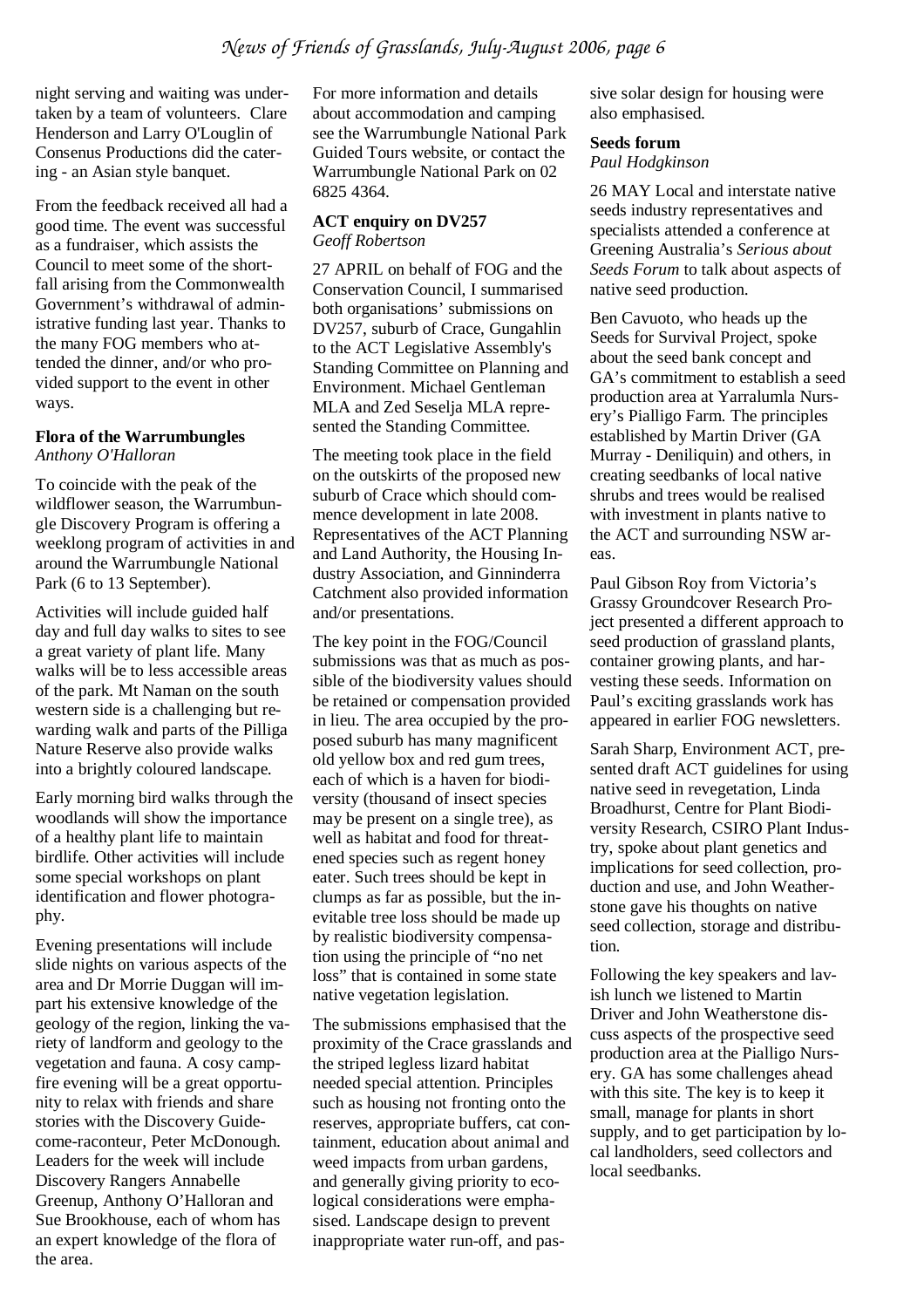night serving and waiting was undertaken by a team of volunteers. Clare Henderson and Larry O'Louglin of Consenus Productions did the catering - an Asian style banquet.

From the feedback received all had a good time. The event was successful as a fundraiser, which assists the Council to meet some of the shortfall arising from the Commonwealth Government's withdrawal of administrative funding last year. Thanks to the many FOG members who attended the dinner, and/or who provided support to the event in other ways.

#### **Flora of the Warrumbungles** *Anthony O'Halloran*

To coincide with the peak of the wildflower season, the Warrumbungle Discovery Program is offering a weeklong program of activities in and around the Warrumbungle National Park (6 to 13 September).

Activities will include guided half day and full day walks to sites to see a great variety of plant life. Many walks will be to less accessible areas of the park. Mt Naman on the south western side is a challenging but rewarding walk and parts of the Pilliga Nature Reserve also provide walks into a brightly coloured landscape.

Early morning bird walks through the woodlands will show the importance of a healthy plant life to maintain birdlife. Other activities will include some special workshops on plant identification and flower photography.

Evening presentations will include slide nights on various aspects of the area and Dr Morrie Duggan will impart his extensive knowledge of the geology of the region, linking the variety of landform and geology to the vegetation and fauna. A cosy campfire evening will be a great opportunity to relax with friends and share stories with the Discovery Guidecome-raconteur, Peter McDonough. Leaders for the week will include Discovery Rangers Annabelle Greenup, Anthony O'Halloran and Sue Brookhouse, each of whom has an expert knowledge of the flora of the area.

For more information and details about accommodation and camping see the Warrumbungle National Park Guided Tours website, or contact the Warrumbungle National Park on 02 6825 4364.

#### **ACT enquiry on DV257**  *Geoff Robertson*

27 APRIL on behalf of FOG and the Conservation Council, I summarised both organisations' submissions on DV257, suburb of Crace, Gungahlin to the ACT Legislative Assembly's Standing Committee on Planning and Environment. Michael Gentleman MLA and Zed Seselja MLA represented the Standing Committee.

The meeting took place in the field on the outskirts of the proposed new suburb of Crace which should commence development in late 2008. Representatives of the ACT Planning and Land Authority, the Housing Industry Association, and Ginninderra Catchment also provided information and/or presentations.

The key point in the FOG/Council submissions was that as much as possible of the biodiversity values should be retained or compensation provided in lieu. The area occupied by the proposed suburb has many magnificent old yellow box and red gum trees, each of which is a haven for biodiversity (thousand of insect species may be present on a single tree), as well as habitat and food for threatened species such as regent honey eater. Such trees should be kept in clumps as far as possible, but the inevitable tree loss should be made up by realistic biodiversity compensation using the principle of "no net loss" that is contained in some state native vegetation legislation.

The submissions emphasised that the proximity of the Crace grasslands and the striped legless lizard habitat needed special attention. Principles such as housing not fronting onto the reserves, appropriate buffers, cat containment, education about animal and weed impacts from urban gardens, and generally giving priority to ecological considerations were emphasised. Landscape design to prevent inappropriate water run-off, and pas-

sive solar design for housing were also emphasised.

#### **Seeds forum**

*Paul Hodgkinson* 

26 MAY Local and interstate native seeds industry representatives and specialists attended a conference at Greening Australia's *Serious about Seeds Forum* to talk about aspects of native seed production.

Ben Cavuoto, who heads up the Seeds for Survival Project, spoke about the seed bank concept and GA's commitment to establish a seed production area at Yarralumla Nursery's Pialligo Farm. The principles established by Martin Driver (GA Murray - Deniliquin) and others, in creating seedbanks of local native shrubs and trees would be realised with investment in plants native to the ACT and surrounding NSW areas.

Paul Gibson Roy from Victoria's Grassy Groundcover Research Project presented a different approach to seed production of grassland plants, container growing plants, and harvesting these seeds. Information on Paul's exciting grasslands work has appeared in earlier FOG newsletters.

Sarah Sharp, Environment ACT, presented draft ACT guidelines for using native seed in revegetation, Linda Broadhurst, Centre for Plant Biodiversity Research, CSIRO Plant Industry, spoke about plant genetics and implications for seed collection, production and use, and John Weatherstone gave his thoughts on native seed collection, storage and distribution.

Following the key speakers and lavish lunch we listened to Martin Driver and John Weatherstone discuss aspects of the prospective seed production area at the Pialligo Nursery. GA has some challenges ahead with this site. The key is to keep it small, manage for plants in short supply, and to get participation by local landholders, seed collectors and local seedbanks.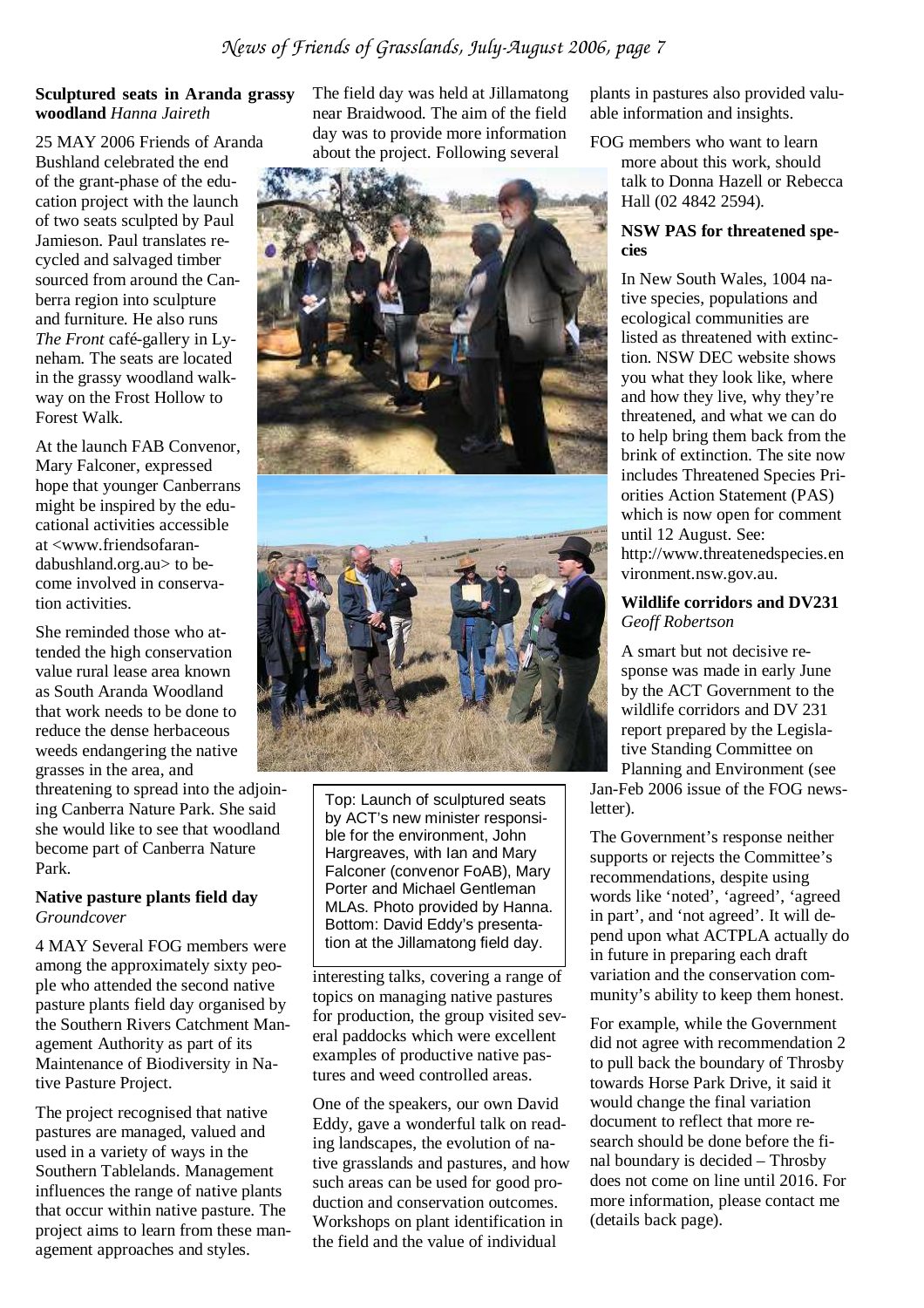#### **Sculptured seats in Aranda grassy woodland** *Hanna Jaireth*

25 MAY 2006 Friends of Aranda Bushland celebrated the end of the grant-phase of the education project with the launch of two seats sculpted by Paul Jamieson. Paul translates recycled and salvaged timber sourced from around the Canberra region into sculpture and furniture. He also runs *The Front* café-gallery in Lyneham. The seats are located in the grassy woodland walkway on the Frost Hollow to Forest Walk.

At the launch FAB Convenor, Mary Falconer, expressed hope that younger Canberrans might be inspired by the educational activities accessible at <www.friendsofarandabushland.org.au> to become involved in conservation activities.

She reminded those who attended the high conservation value rural lease area known as South Aranda Woodland that work needs to be done to reduce the dense herbaceous weeds endangering the native grasses in the area, and

threatening to spread into the adjoining Canberra Nature Park. She said she would like to see that woodland become part of Canberra Nature Park.

#### **Native pasture plants field day**  *Groundcover*

4 MAY Several FOG members were among the approximately sixty people who attended the second native pasture plants field day organised by the Southern Rivers Catchment Management Authority as part of its Maintenance of Biodiversity in Native Pasture Project.

The project recognised that native pastures are managed, valued and used in a variety of ways in the Southern Tablelands. Management influences the range of native plants that occur within native pasture. The project aims to learn from these management approaches and styles.

The field day was held at Jillamatong near Braidwood. The aim of the field day was to provide more information about the project. Following several



Top: Launch of sculptured seats by ACT's new minister responsible for the environment, John Hargreaves, with Ian and Mary Falconer (convenor FoAB), Mary Porter and Michael Gentleman MLAs. Photo provided by Hanna. Bottom: David Eddy's presentation at the Jillamatong field day.

interesting talks, covering a range of topics on managing native pastures for production, the group visited several paddocks which were excellent examples of productive native pastures and weed controlled areas.

One of the speakers, our own David Eddy, gave a wonderful talk on reading landscapes, the evolution of native grasslands and pastures, and how such areas can be used for good production and conservation outcomes. Workshops on plant identification in the field and the value of individual

plants in pastures also provided valuable information and insights.

FOG members who want to learn more about this work, should talk to Donna Hazell or Rebecca Hall (02 4842 2594).

#### **NSW PAS for threatened species**

In New South Wales, 1004 native species, populations and ecological communities are listed as threatened with extinction. NSW DEC website shows you what they look like, where and how they live, why they're threatened, and what we can do to help bring them back from the brink of extinction. The site now includes Threatened Species Priorities Action Statement (PAS) which is now open for comment until 12 August. See: http://www.threatenedspecies.en vironment.nsw.gov.au.

#### **Wildlife corridors and DV231**  *Geoff Robertson*

A smart but not decisive response was made in early June by the ACT Government to the wildlife corridors and DV 231 report prepared by the Legislative Standing Committee on Planning and Environment (see

Jan-Feb 2006 issue of the FOG newsletter).

The Government's response neither supports or rejects the Committee's recommendations, despite using words like 'noted', 'agreed', 'agreed in part', and 'not agreed'. It will depend upon what ACTPLA actually do in future in preparing each draft variation and the conservation community's ability to keep them honest.

For example, while the Government did not agree with recommendation 2 to pull back the boundary of Throsby towards Horse Park Drive, it said it would change the final variation document to reflect that more research should be done before the final boundary is decided – Throsby does not come on line until 2016. For more information, please contact me (details back page).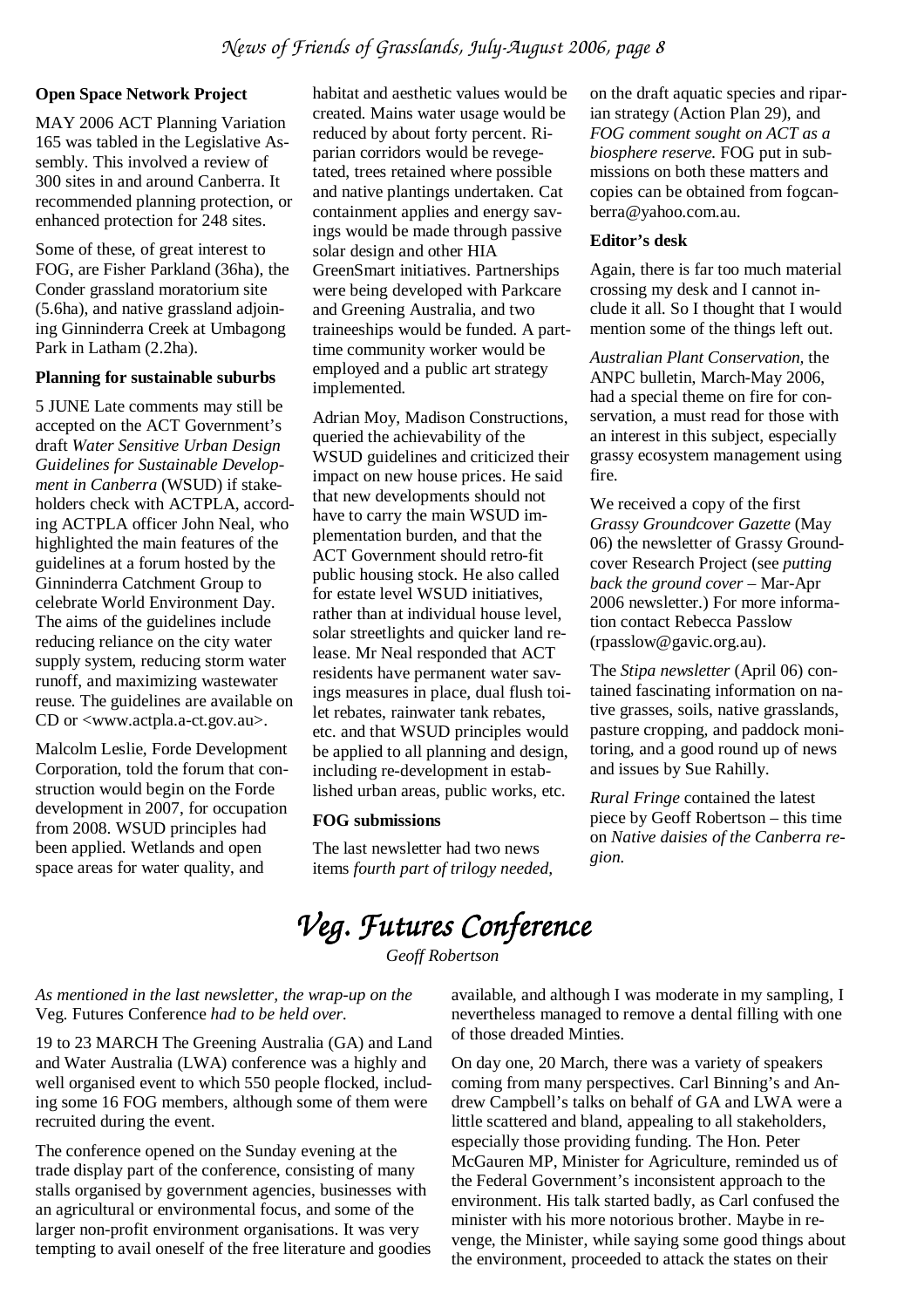#### **Open Space Network Project**

MAY 2006 ACT Planning Variation 165 was tabled in the Legislative Assembly. This involved a review of 300 sites in and around Canberra. It recommended planning protection, or enhanced protection for 248 sites.

Some of these, of great interest to FOG, are Fisher Parkland (36ha), the Conder grassland moratorium site (5.6ha), and native grassland adjoining Ginninderra Creek at Umbagong Park in Latham (2.2ha).

#### **Planning for sustainable suburbs**

5 JUNE Late comments may still be accepted on the ACT Government's draft *Water Sensitive Urban Design Guidelines for Sustainable Development in Canberra* (WSUD) if stakeholders check with ACTPLA, according ACTPLA officer John Neal, who highlighted the main features of the guidelines at a forum hosted by the Ginninderra Catchment Group to celebrate World Environment Day. The aims of the guidelines include reducing reliance on the city water supply system, reducing storm water runoff, and maximizing wastewater reuse. The guidelines are available on CD or <www.actpla.a-ct.gov.au>.

Malcolm Leslie, Forde Development Corporation, told the forum that construction would begin on the Forde development in 2007, for occupation from 2008. WSUD principles had been applied. Wetlands and open space areas for water quality, and

habitat and aesthetic values would be created. Mains water usage would be reduced by about forty percent. Riparian corridors would be revegetated, trees retained where possible and native plantings undertaken. Cat containment applies and energy savings would be made through passive solar design and other HIA GreenSmart initiatives. Partnerships were being developed with Parkcare and Greening Australia, and two traineeships would be funded. A parttime community worker would be employed and a public art strategy implemented.

Adrian Moy, Madison Constructions, queried the achievability of the WSUD guidelines and criticized their impact on new house prices. He said that new developments should not have to carry the main WSUD implementation burden, and that the ACT Government should retro-fit public housing stock. He also called for estate level WSUD initiatives, rather than at individual house level, solar streetlights and quicker land release. Mr Neal responded that ACT residents have permanent water savings measures in place, dual flush toilet rebates, rainwater tank rebates, etc. and that WSUD principles would be applied to all planning and design, including re-development in established urban areas, public works, etc.

#### **FOG submissions**

The last newsletter had two news items *fourth part of trilogy needed,* 

on the draft aquatic species and riparian strategy (Action Plan 29), and *FOG comment sought on ACT as a biosphere reserve.* FOG put in submissions on both these matters and copies can be obtained from fogcanberra@yahoo.com.au.

#### **Editor's desk**

Again, there is far too much material crossing my desk and I cannot include it all. So I thought that I would mention some of the things left out.

*Australian Plant Conservation,* the ANPC bulletin, March-May 2006, had a special theme on fire for conservation, a must read for those with an interest in this subject, especially grassy ecosystem management using fire.

We received a copy of the first *Grassy Groundcover Gazette* (May 06) the newsletter of Grassy Groundcover Research Project (see *putting back the ground cover –* Mar-Apr 2006 newsletter.) For more information contact Rebecca Passlow (rpasslow@gavic.org.au).

The *Stipa newsletter* (April 06) contained fascinating information on native grasses, soils, native grasslands, pasture cropping, and paddock monitoring, and a good round up of news and issues by Sue Rahilly.

*Rural Fringe* contained the latest piece by Geoff Robertson – this time on *Native daisies of the Canberra region.* 

# *Veg. Futures Conference*

*Geoff Robertson* 

#### *As mentioned in the last newsletter, the wrap-up on the*  Veg. Futures Conference *had to be held over.*

19 to 23 MARCH The Greening Australia (GA) and Land and Water Australia (LWA) conference was a highly and well organised event to which 550 people flocked, including some 16 FOG members, although some of them were recruited during the event.

The conference opened on the Sunday evening at the trade display part of the conference, consisting of many stalls organised by government agencies, businesses with an agricultural or environmental focus, and some of the larger non-profit environment organisations. It was very tempting to avail oneself of the free literature and goodies

available, and although I was moderate in my sampling, I nevertheless managed to remove a dental filling with one of those dreaded Minties.

On day one, 20 March, there was a variety of speakers coming from many perspectives. Carl Binning's and Andrew Campbell's talks on behalf of GA and LWA were a little scattered and bland, appealing to all stakeholders, especially those providing funding. The Hon. Peter McGauren MP, Minister for Agriculture, reminded us of the Federal Government's inconsistent approach to the environment. His talk started badly, as Carl confused the minister with his more notorious brother. Maybe in revenge, the Minister, while saying some good things about the environment, proceeded to attack the states on their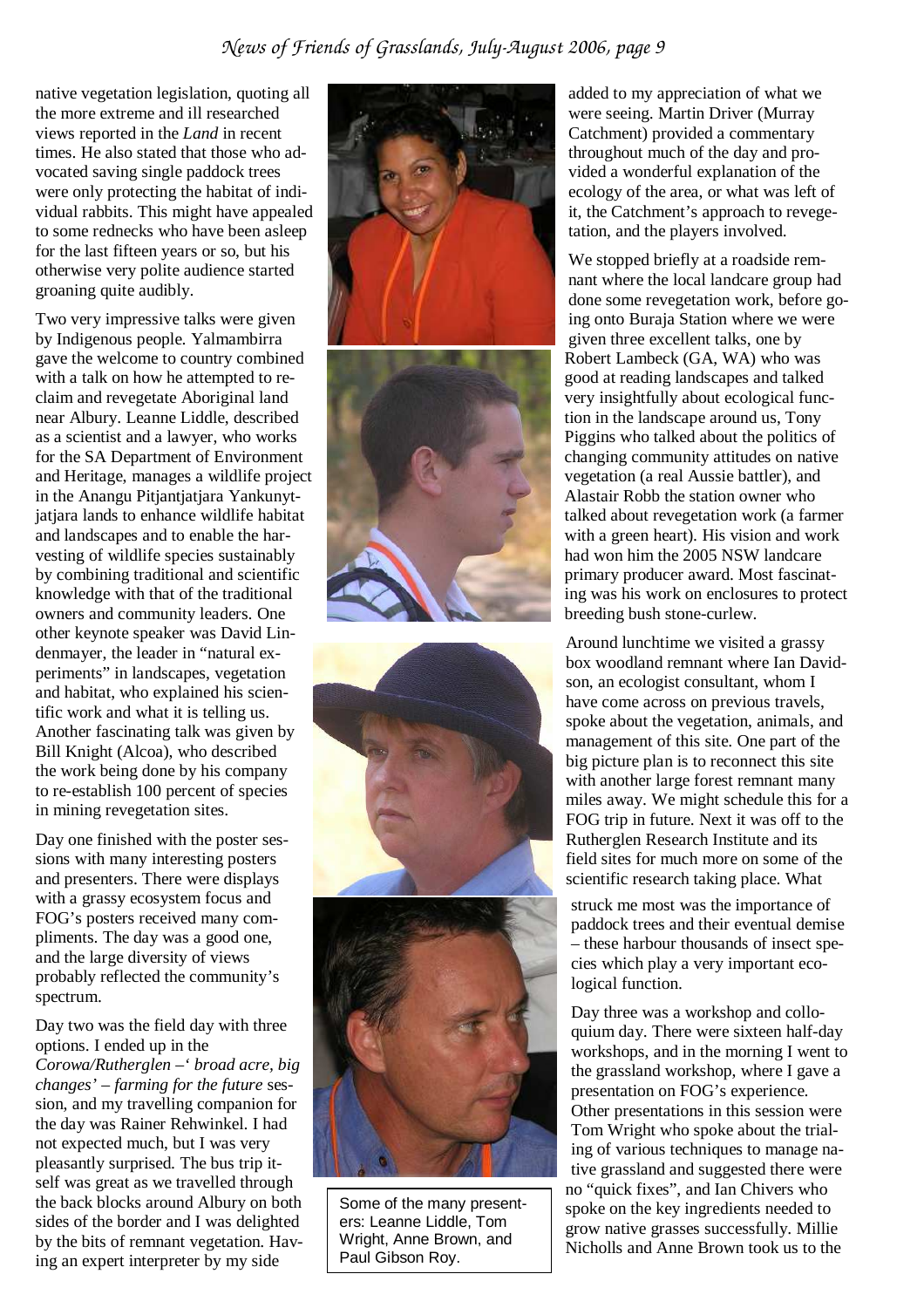#### *News of Friends of Grasslands, July-August 2006, page 9*

native vegetation legislation, quoting all the more extreme and ill researched views reported in the *Land* in recent times. He also stated that those who advocated saving single paddock trees were only protecting the habitat of individual rabbits. This might have appealed to some rednecks who have been asleep for the last fifteen years or so, but his otherwise very polite audience started groaning quite audibly.

Two very impressive talks were given by Indigenous people. Yalmambirra gave the welcome to country combined with a talk on how he attempted to reclaim and revegetate Aboriginal land near Albury. Leanne Liddle, described as a scientist and a lawyer, who works for the SA Department of Environment and Heritage, manages a wildlife project in the Anangu Pitjantjatjara Yankunytjatjara lands to enhance wildlife habitat and landscapes and to enable the harvesting of wildlife species sustainably by combining traditional and scientific knowledge with that of the traditional owners and community leaders. One other keynote speaker was David Lindenmayer, the leader in "natural experiments" in landscapes, vegetation and habitat, who explained his scientific work and what it is telling us. Another fascinating talk was given by Bill Knight (Alcoa), who described the work being done by his company to re-establish 100 percent of species in mining revegetation sites.

Day one finished with the poster sessions with many interesting posters and presenters. There were displays with a grassy ecosystem focus and FOG's posters received many compliments. The day was a good one, and the large diversity of views probably reflected the community's spectrum.

Day two was the field day with three options. I ended up in the *Corowa/Rutherglen –' broad acre, big changes' – farming for the future* session, and my travelling companion for the day was Rainer Rehwinkel. I had not expected much, but I was very pleasantly surprised. The bus trip itself was great as we travelled through the back blocks around Albury on both sides of the border and I was delighted by the bits of remnant vegetation. Having an expert interpreter by my side





Some of the many presenters: Leanne Liddle, Tom Wright, Anne Brown, and Paul Gibson Roy.

added to my appreciation of what we were seeing. Martin Driver (Murray Catchment) provided a commentary throughout much of the day and provided a wonderful explanation of the ecology of the area, or what was left of it, the Catchment's approach to revegetation, and the players involved.

We stopped briefly at a roadside remnant where the local landcare group had done some revegetation work, before going onto Buraja Station where we were given three excellent talks, one by Robert Lambeck (GA, WA) who was good at reading landscapes and talked very insightfully about ecological function in the landscape around us, Tony Piggins who talked about the politics of changing community attitudes on native vegetation (a real Aussie battler), and Alastair Robb the station owner who talked about revegetation work (a farmer with a green heart). His vision and work had won him the 2005 NSW landcare primary producer award. Most fascinating was his work on enclosures to protect breeding bush stone-curlew.

Around lunchtime we visited a grassy box woodland remnant where Ian Davidson, an ecologist consultant, whom I have come across on previous travels, spoke about the vegetation, animals, and management of this site. One part of the big picture plan is to reconnect this site with another large forest remnant many miles away. We might schedule this for a FOG trip in future. Next it was off to the Rutherglen Research Institute and its field sites for much more on some of the scientific research taking place. What

struck me most was the importance of paddock trees and their eventual demise – these harbour thousands of insect species which play a very important ecological function.

Day three was a workshop and colloquium day. There were sixteen half-day workshops, and in the morning I went to the grassland workshop, where I gave a presentation on FOG's experience. Other presentations in this session were Tom Wright who spoke about the trialing of various techniques to manage native grassland and suggested there were no "quick fixes", and Ian Chivers who spoke on the key ingredients needed to grow native grasses successfully. Millie Nicholls and Anne Brown took us to the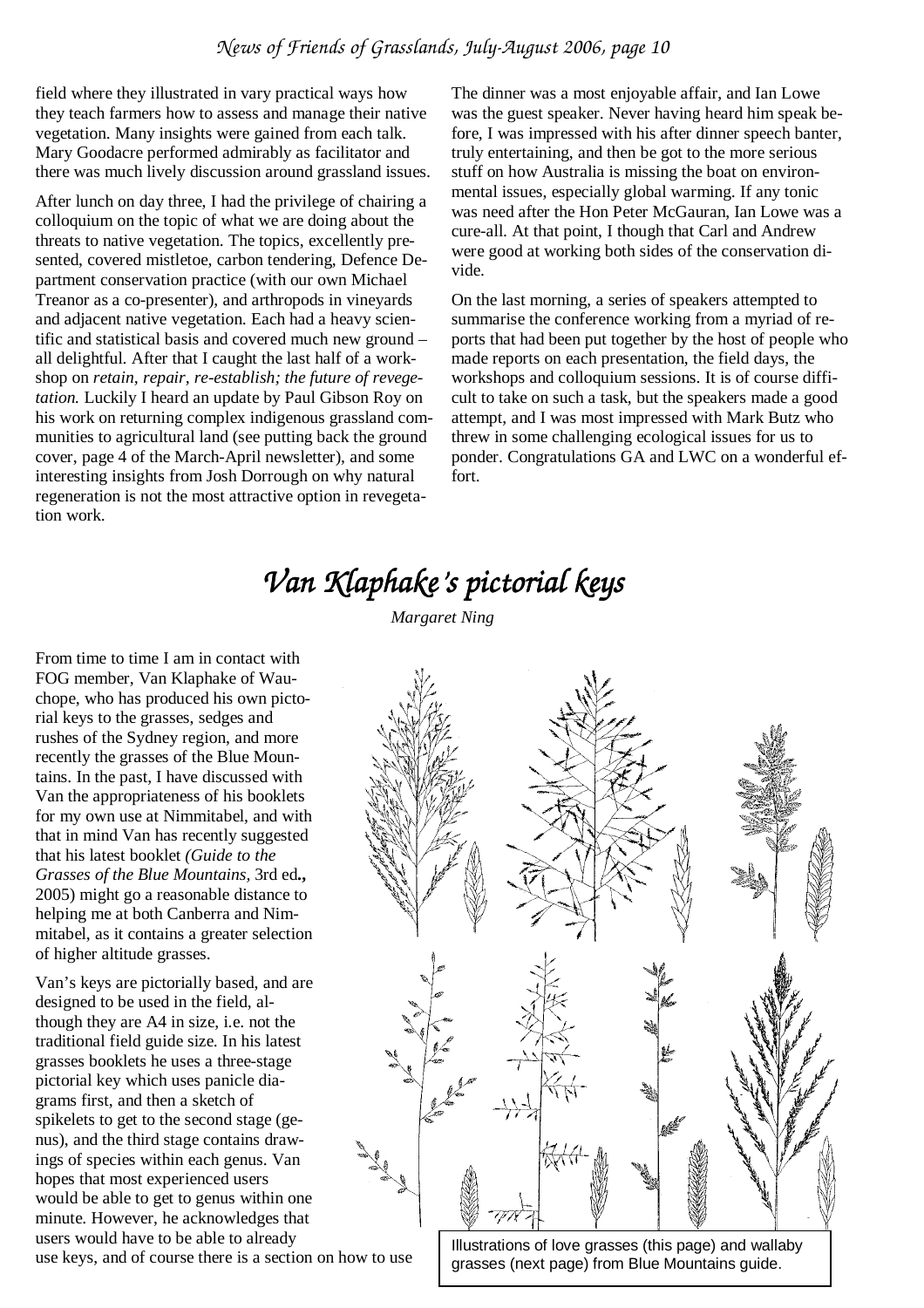field where they illustrated in vary practical ways how they teach farmers how to assess and manage their native vegetation. Many insights were gained from each talk. Mary Goodacre performed admirably as facilitator and there was much lively discussion around grassland issues.

After lunch on day three, I had the privilege of chairing a colloquium on the topic of what we are doing about the threats to native vegetation. The topics, excellently presented, covered mistletoe, carbon tendering, Defence Department conservation practice (with our own Michael Treanor as a co-presenter), and arthropods in vineyards and adjacent native vegetation. Each had a heavy scientific and statistical basis and covered much new ground – all delightful. After that I caught the last half of a workshop on *retain, repair, re-establish; the future of revegetation.* Luckily I heard an update by Paul Gibson Roy on his work on returning complex indigenous grassland communities to agricultural land (see putting back the ground cover, page 4 of the March-April newsletter), and some interesting insights from Josh Dorrough on why natural regeneration is not the most attractive option in revegetation work.

The dinner was a most enjoyable affair, and Ian Lowe was the guest speaker. Never having heard him speak before, I was impressed with his after dinner speech banter, truly entertaining, and then be got to the more serious stuff on how Australia is missing the boat on environmental issues, especially global warming. If any tonic was need after the Hon Peter McGauran, Ian Lowe was a cure-all. At that point, I though that Carl and Andrew were good at working both sides of the conservation divide.

On the last morning, a series of speakers attempted to summarise the conference working from a myriad of reports that had been put together by the host of people who made reports on each presentation, the field days, the workshops and colloquium sessions. It is of course difficult to take on such a task, but the speakers made a good attempt, and I was most impressed with Mark Butz who threw in some challenging ecological issues for us to ponder. Congratulations GA and LWC on a wonderful effort.

# *Van Klaphake's p pictorial keys*

From time to time I am in contact with FOG member, Van Klaphake of Wauchope, who has produced his own pictorial keys to the grasses, sedges and rushes of the Sydney region, and more recently the grasses of the Blue Mountains. In the past, I have discussed with Van the appropriateness of his booklets for my own use at Nimmitabel, and with that in mind Van has recently suggested that his latest booklet *(Guide to the Grasses of the Blue Mountains,* 3rd ed**.,**  2005) might go a reasonable distance to helping me at both Canberra and Nimmitabel, as it contains a greater selection of higher altitude grasses.

Van's keys are pictorially based, and are designed to be used in the field, although they are A4 in size, i.e. not the traditional field guide size. In his latest grasses booklets he uses a three-stage pictorial key which uses panicle diagrams first, and then a sketch of spikelets to get to the second stage (genus), and the third stage contains drawings of species within each genus. Van hopes that most experienced users would be able to get to genus within one minute. However, he acknowledges that users would have to be able to already

use keys, and of course there is a section on how to use





Illustrations of love grasses (this page) and wallaby grasses (next page) from Blue Mountains guide.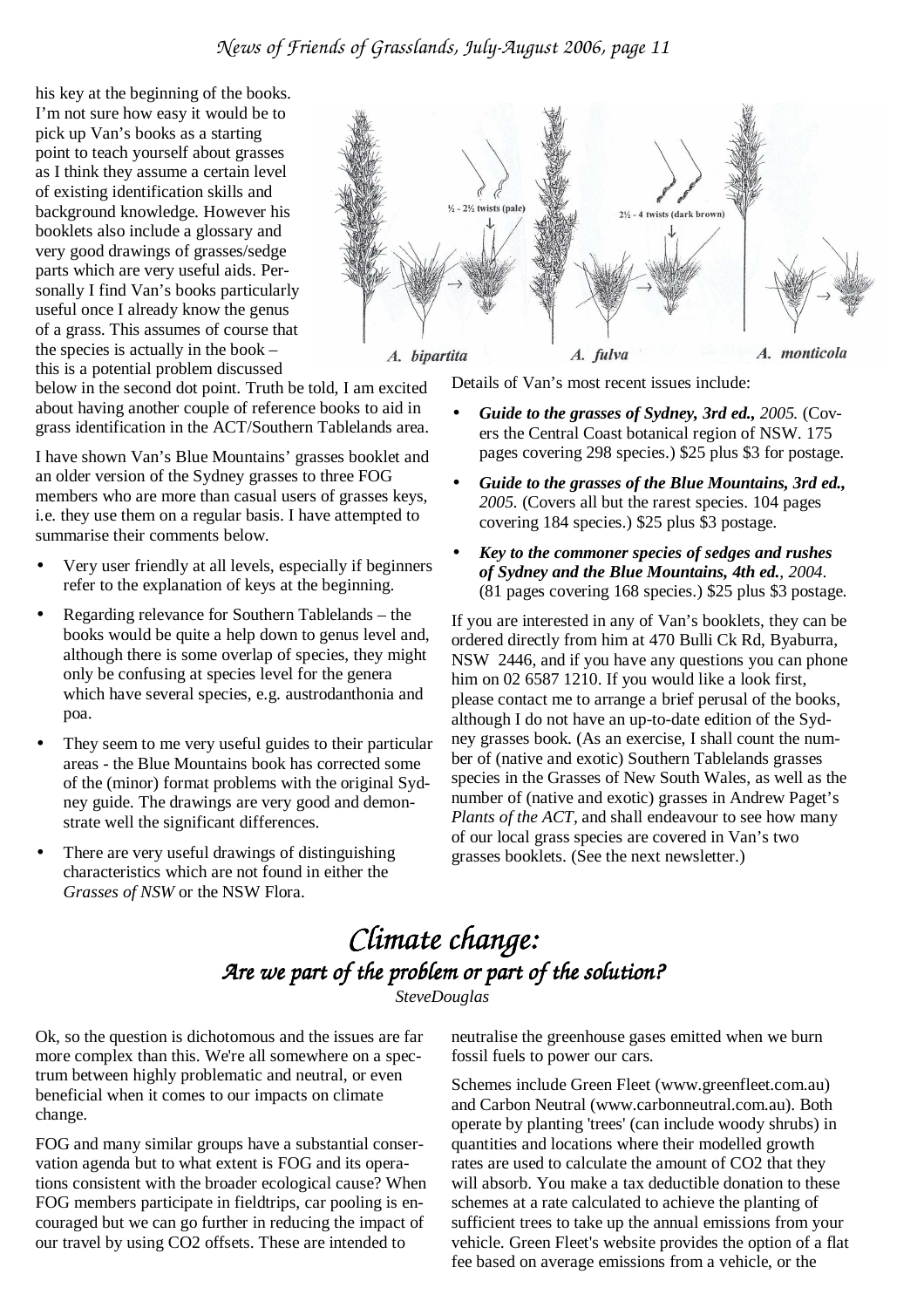his key at the beginning of the books. I'm not sure how easy it would be to pick up Van's books as a starting point to teach yourself about grasses as I think they assume a certain level of existing identification skills and background knowledge. However his booklets also include a glossary and very good drawings of grasses/sedge parts which are very useful aids. Personally I find Van's books particularly useful once I already know the genus of a grass. This assumes of course that the species is actually in the book – this is a potential problem discussed

below in the second dot point. Truth be told, I am excited about having another couple of reference books to aid in grass identification in the ACT/Southern Tablelands area.

I have shown Van's Blue Mountains' grasses booklet and an older version of the Sydney grasses to three FOG members who are more than casual users of grasses keys, i.e. they use them on a regular basis. I have attempted to summarise their comments below.

- Very user friendly at all levels, especially if beginners refer to the explanation of keys at the beginning.
- Regarding relevance for Southern Tablelands the books would be quite a help down to genus level and, although there is some overlap of species, they might only be confusing at species level for the genera which have several species, e.g. austrodanthonia and poa.
- They seem to me very useful guides to their particular areas - the Blue Mountains book has corrected some of the (minor) format problems with the original Sydney guide. The drawings are very good and demonstrate well the significant differences.
- There are very useful drawings of distinguishing characteristics which are not found in either the *Grasses of NSW* or the NSW Flora.



Details of Van's most recent issues include:

- *Guide to the grasses of Sydney, 3rd ed., 2005.* (Covers the Central Coast botanical region of NSW. 175 pages covering 298 species.) \$25 plus \$3 for postage.
- *Guide to the grasses of the Blue Mountains, 3rd ed., 2005.* (Covers all but the rarest species. 104 pages covering 184 species.) \$25 plus \$3 postage.
- *Key to the commoner species of sedges and rushes of Sydney and the Blue Mountains, 4th ed., 2004*. (81 pages covering 168 species.) \$25 plus \$3 postage.

If you are interested in any of Van's booklets, they can be ordered directly from him at 470 Bulli Ck Rd, Byaburra, NSW 2446, and if you have any questions you can phone him on 02 6587 1210. If you would like a look first, please contact me to arrange a brief perusal of the books, although I do not have an up-to-date edition of the Sydney grasses book. (As an exercise, I shall count the number of (native and exotic) Southern Tablelands grasses species in the Grasses of New South Wales, as well as the number of (native and exotic) grasses in Andrew Paget's *Plants of the ACT,* and shall endeavour to see how many of our local grass species are covered in Van's two grasses booklets. (See the next newsletter.)

### *Climate change: Climate change: Are we part of the problem or part of the sol Are we part of the problem or part of the solre we part of the or part of the solution? SteveDouglas*

Ok, so the question is dichotomous and the issues are far more complex than this. We're all somewhere on a spectrum between highly problematic and neutral, or even beneficial when it comes to our impacts on climate change.

FOG and many similar groups have a substantial conservation agenda but to what extent is FOG and its operations consistent with the broader ecological cause? When FOG members participate in fieldtrips, car pooling is encouraged but we can go further in reducing the impact of our travel by using CO2 offsets. These are intended to

neutralise the greenhouse gases emitted when we burn fossil fuels to power our cars.

Schemes include Green Fleet (www.greenfleet.com.au) and Carbon Neutral (www.carbonneutral.com.au). Both operate by planting 'trees' (can include woody shrubs) in quantities and locations where their modelled growth rates are used to calculate the amount of CO2 that they will absorb. You make a tax deductible donation to these schemes at a rate calculated to achieve the planting of sufficient trees to take up the annual emissions from your vehicle. Green Fleet's website provides the option of a flat fee based on average emissions from a vehicle, or the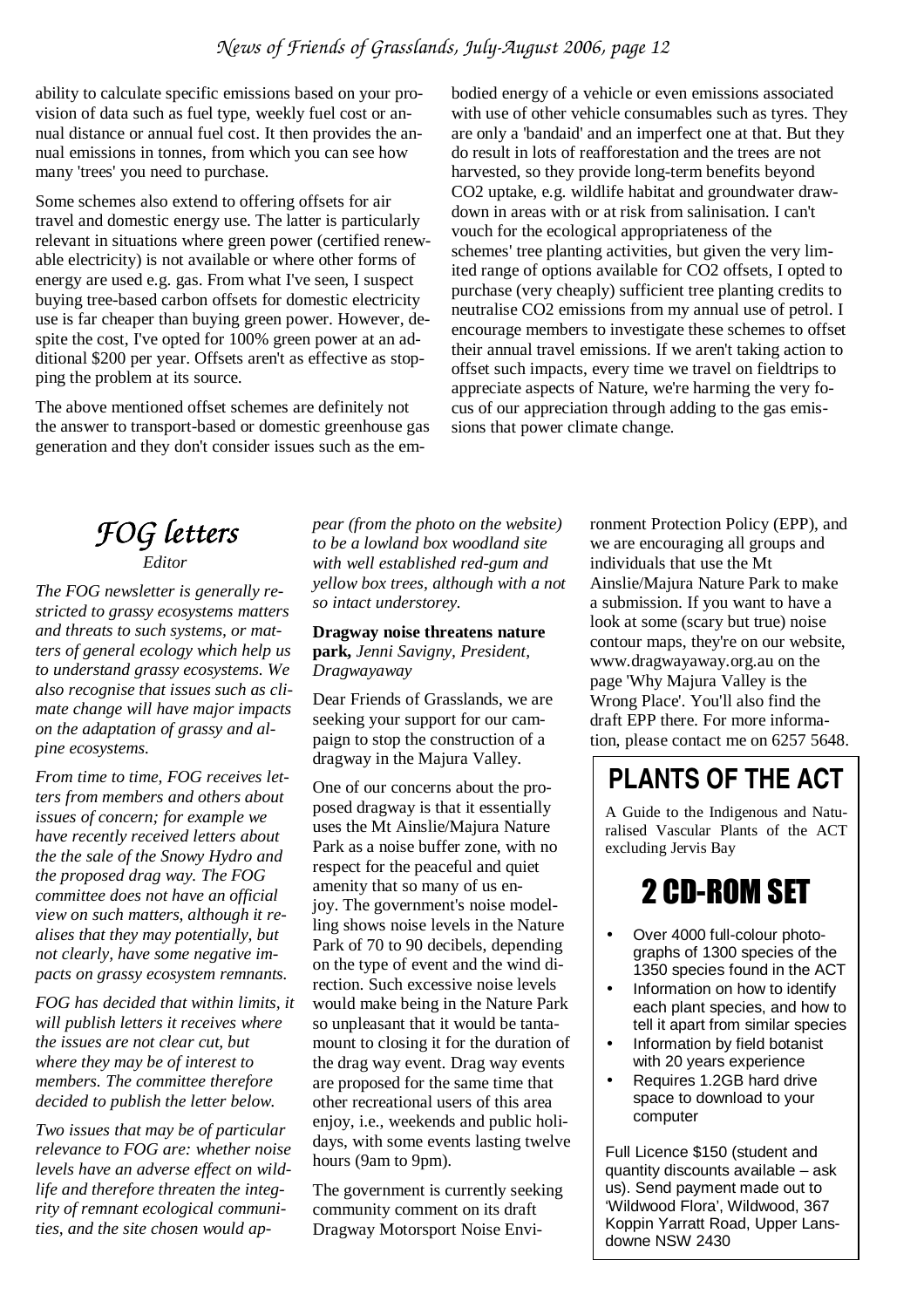ability to calculate specific emissions based on your provision of data such as fuel type, weekly fuel cost or annual distance or annual fuel cost. It then provides the annual emissions in tonnes, from which you can see how many 'trees' you need to purchase.

Some schemes also extend to offering offsets for air travel and domestic energy use. The latter is particularly relevant in situations where green power (certified renewable electricity) is not available or where other forms of energy are used e.g. gas. From what I've seen, I suspect buying tree-based carbon offsets for domestic electricity use is far cheaper than buying green power. However, despite the cost, I've opted for 100% green power at an additional \$200 per year. Offsets aren't as effective as stopping the problem at its source.

The above mentioned offset schemes are definitely not the answer to transport-based or domestic greenhouse gas generation and they don't consider issues such as the em-

bodied energy of a vehicle or even emissions associated with use of other vehicle consumables such as tyres. They are only a 'bandaid' and an imperfect one at that. But they do result in lots of reafforestation and the trees are not harvested, so they provide long-term benefits beyond CO2 uptake, e.g. wildlife habitat and groundwater drawdown in areas with or at risk from salinisation. I can't vouch for the ecological appropriateness of the schemes' tree planting activities, but given the very limited range of options available for CO2 offsets, I opted to purchase (very cheaply) sufficient tree planting credits to neutralise CO2 emissions from my annual use of petrol. I encourage members to investigate these schemes to offset their annual travel emissions. If we aren't taking action to offset such impacts, every time we travel on fieldtrips to appreciate aspects of Nature, we're harming the very focus of our appreciation through adding to the gas emissions that power climate change.

## *FOG letters Editor*

*The FOG newsletter is generally restricted to grassy ecosystems matters and threats to such systems, or matters of general ecology which help us to understand grassy ecosystems. We also recognise that issues such as climate change will have major impacts on the adaptation of grassy and alpine ecosystems.* 

*From time to time, FOG receives letters from members and others about issues of concern; for example we have recently received letters about the the sale of the Snowy Hydro and the proposed drag way. The FOG committee does not have an official view on such matters, although it realises that they may potentially, but not clearly, have some negative impacts on grassy ecosystem remnants.* 

*FOG has decided that within limits, it will publish letters it receives where the issues are not clear cut, but where they may be of interest to members. The committee therefore decided to publish the letter below.* 

*Two issues that may be of particular relevance to FOG are: whether noise levels have an adverse effect on wildlife and therefore threaten the integrity of remnant ecological communities, and the site chosen would ap-* *pear (from the photo on the website) to be a lowland box woodland site with well established red-gum and yellow box trees, although with a not so intact understorey.*

#### **Dragway noise threatens nature**

**park,** *Jenni Savigny, President, Dragwayaway*

Dear Friends of Grasslands, we are seeking your support for our campaign to stop the construction of a dragway in the Majura Valley.

One of our concerns about the proposed dragway is that it essentially uses the Mt Ainslie/Majura Nature Park as a noise buffer zone, with no respect for the peaceful and quiet amenity that so many of us enjoy. The government's noise modelling shows noise levels in the Nature Park of 70 to 90 decibels, depending on the type of event and the wind direction. Such excessive noise levels would make being in the Nature Park so unpleasant that it would be tantamount to closing it for the duration of the drag way event. Drag way events are proposed for the same time that other recreational users of this area enjoy, i.e., weekends and public holidays, with some events lasting twelve hours (9am to 9pm).

The government is currently seeking community comment on its draft Dragway Motorsport Noise Environment Protection Policy (EPP), and we are encouraging all groups and individuals that use the Mt Ainslie/Majura Nature Park to make a submission. If you want to have a look at some (scary but true) noise contour maps, they're on our website, www.dragwayaway.org.au on the page 'Why Majura Valley is the Wrong Place'. You'll also find the draft EPP there. For more information, please contact me on 6257 5648.

# **PLANTS OF THE ACT**

A Guide to the Indigenous and Naturalised Vascular Plants of the ACT excluding Jervis Bay

# 2 CD-ROM SET

- Over 4000 full-colour photographs of 1300 species of the 1350 species found in the ACT
- Information on how to identify each plant species, and how to tell it apart from similar species
- Information by field botanist with 20 years experience
- Requires 1.2GB hard drive space to download to your computer

Full Licence \$150 (student and quantity discounts available – ask us). Send payment made out to 'Wildwood Flora', Wildwood, 367 Koppin Yarratt Road, Upper Lansdowne NSW 2430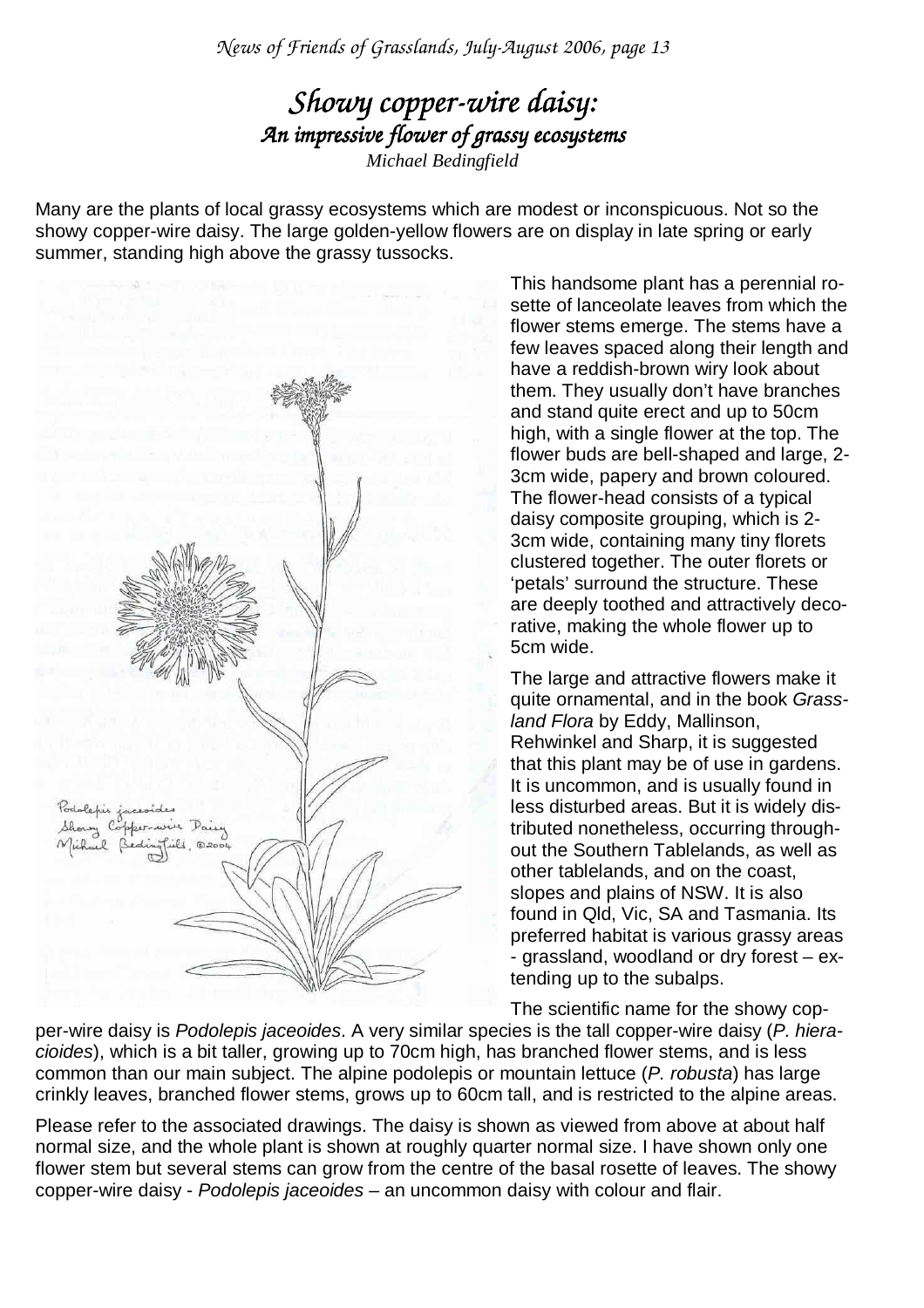*News of Friends of Grasslands, July-August 2006, page 13* 

### *Showy copper-wire daisy: An impressive flower of grassy ecosys ecosystems Michael Bedingfield*

Many are the plants of local grassy ecosystems which are modest or inconspicuous. Not so the showy copper-wire daisy. The large golden-yellow flowers are on display in late spring or early summer, standing high above the grassy tussocks.



This handsome plant has a perennial rosette of lanceolate leaves from which the flower stems emerge. The stems have a few leaves spaced along their length and have a reddish-brown wiry look about them. They usually don't have branches and stand quite erect and up to 50cm high, with a single flower at the top. The flower buds are bell-shaped and large, 2- 3cm wide, papery and brown coloured. The flower-head consists of a typical daisy composite grouping, which is 2- 3cm wide, containing many tiny florets clustered together. The outer florets or 'petals' surround the structure. These are deeply toothed and attractively decorative, making the whole flower up to 5cm wide.

The large and attractive flowers make it quite ornamental, and in the book Grassland Flora by Eddy, Mallinson, Rehwinkel and Sharp, it is suggested that this plant may be of use in gardens. It is uncommon, and is usually found in less disturbed areas. But it is widely distributed nonetheless, occurring throughout the Southern Tablelands, as well as other tablelands, and on the coast, slopes and plains of NSW. It is also found in Qld, Vic, SA and Tasmania. Its preferred habitat is various grassy areas - grassland, woodland or dry forest – extending up to the subalps.

The scientific name for the showy cop-

per-wire daisy is Podolepis jaceoides. A very similar species is the tall copper-wire daisy (P. hieracioides), which is a bit taller, growing up to 70cm high, has branched flower stems, and is less common than our main subject. The alpine podolepis or mountain lettuce (P. robusta) has large crinkly leaves, branched flower stems, grows up to 60cm tall, and is restricted to the alpine areas.

Please refer to the associated drawings. The daisy is shown as viewed from above at about half normal size, and the whole plant is shown at roughly quarter normal size. I have shown only one flower stem but several stems can grow from the centre of the basal rosette of leaves. The showy copper-wire daisy - Podolepis jaceoides – an uncommon daisy with colour and flair.